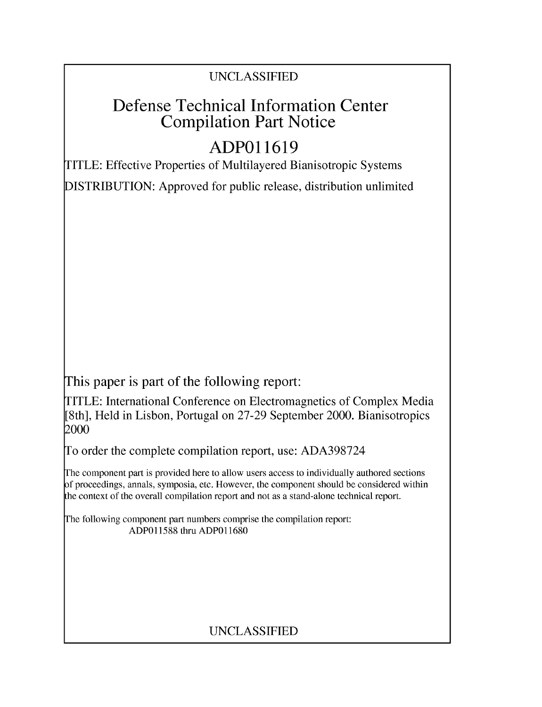## UNCLASSIFIED

# Defense Technical Information Center Compilation Part Notice

# **ADPO 11619**

TITLE: Effective Properties of Multilayered Bianisotropic Systems

DISTRIBUTION: Approved for public release, distribution unlimited

This paper is part of the following report:

TITLE: International Conference on Electromagnetics of Complex Media [8th], Held in Lisbon, Portugal on 27-29 September 2000. Bianisotropics 2000

To order the complete compilation report, use: ADA398724

The component part is provided here to allow users access to individually authored sections f proceedings, annals, symposia, etc. However, the component should be considered within [he context of the overall compilation report and not as a stand-alone technical report.

The following component part numbers comprise the compilation report: ADP011588 thru ADP011680

## UNCLASSIFIED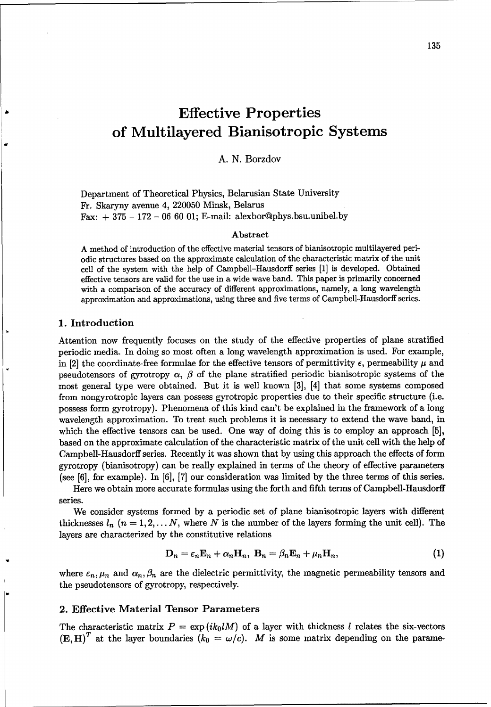# Effective Properties of Multilayered Bianisotropic Systems

### A. N. Borzdov

Department of Theoretical Physics, Belarusian State University Fr. Skaryny avenue 4, 220050 Minsk, Belarus Fax:  $+375 - 172 - 066001$ ; E-mail: alexbor@phys.bsu.unibel.by

#### Abstract

A method of introduction of the effective material tensors of bianisotropic multilayered periodic structures based on the approximate calculation of the characteristic matrix of the unit cell of the system with the help of Campbell-Hausdorff series [1] is developed. Obtained effective tensors are valid for the use in a wide wave band. This paper is primarily concerned with a comparison of the accuracy of different approximations, namely, a long wavelength approximation and approximations, using three and five terms of Campbell-Hausdorff series.

#### 1. Introduction

Attention now frequently focuses on the study of the effective properties of plane stratified periodic media. In doing so most often a long wavelength approximation is used. For example, in [2] the coordinate-free formulae for the effective tensors of permittivity  $\epsilon$ , permeability  $\mu$  and pseudotensors of gyrotropy  $\alpha$ ,  $\beta$  of the plane stratified periodic bianisotropic systems of the most general type were obtained. But it is well known [3], [4] that some systems composed from nongyrotropic layers can possess gyrotropic properties due to their specific structure (i.e. possess form gyrotropy). Phenomena of this kind can't be explained in the framework of a long wavelength approximation. To treat such problems it is necessary to extend the wave band, in which the effective tensors can be used. One way of doing this is to employ an approach [5], based on the approximate calculation of the characteristic matrix of the unit cell with the help of Campbell-Hausdorff series. Recently it was shown that by using this approach the effects of form gyrotropy (bianisotropy) can be really explained in terms of the theory of effective parameters (see  $[6]$ , for example). In  $[6]$ ,  $[7]$  our consideration was limited by the three terms of this series.

Here we obtain more accurate formulas using the forth and fifth terms of Campbell-Hausdorff series.

We consider systems formed by a periodic set of plane bianisotropic layers with different thicknesses  $l_n$   $(n = 1, 2, \ldots N$ , where N is the number of the layers forming the unit cell). The layers are characterized by the constitutive relations

$$
\mathbf{D}_n = \varepsilon_n \mathbf{E}_n + \alpha_n \mathbf{H}_n, \ \mathbf{B}_n = \beta_n \mathbf{E}_n + \mu_n \mathbf{H}_n,\tag{1}
$$

where  $\varepsilon_n, \mu_n$  and  $\alpha_n, \beta_n$  are the dielectric permittivity, the magnetic permeability tensors and the pseudotensors of gyrotropy, respectively.

### 2. Effective Material Tensor Parameters

The characteristic matrix  $P = \exp(ik_0lM)$  of a layer with thickness l relates the six-vectors  $(E, H)^T$  at the layer boundaries  $(k_0 = \omega/c)$ . M is some matrix depending on the parame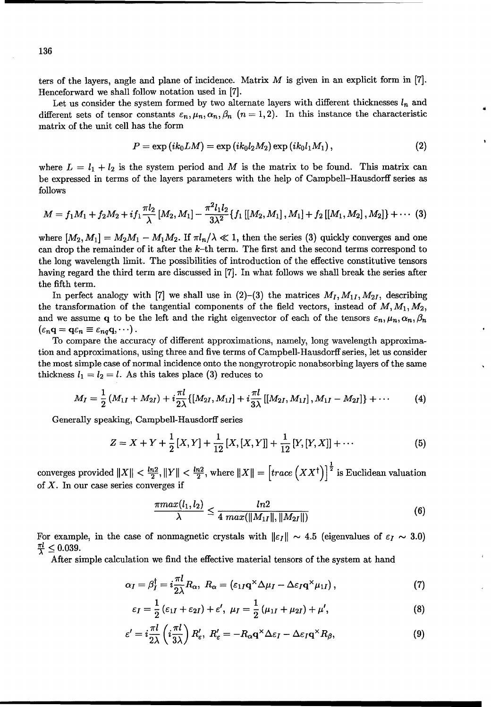ters of the layers, angle and plane of incidence. Matrix  $M$  is given in an explicit form in [7]. Henceforward we shall follow notation used in [7].

Let us consider the system formed by two alternate layers with different thicknesses  $l_n$  and different sets of tensor constants  $\varepsilon_n, \mu_n, \alpha_n, \beta_n$  ( $n = 1, 2$ ). In this instance the characteristic matrix of the unit cell has the form

$$
P = \exp\left(ik_0LM\right) = \exp\left(ik_0l_2M_2\right)\exp\left(ik_0l_1M_1\right),\tag{2}
$$

where  $L = l_1 + l_2$  is the system period and M is the matrix to be found. This matrix can be expressed in terms of the layers parameters with the help of Campbell-Hausdorff series as follows

$$
M=f_1M_1+f_2M_2+if_1\frac{\pi l_2}{\lambda}\left[M_2,M_1\right]-\frac{\pi ^2l_1l_2}{3\lambda ^2}\{f_1\left[\left[M_2,M_1\right],M_1\right]+f_2\left[\left[M_1,M_2\right],M_2\right]\}+\cdots \tag{3}
$$

where  $[M_2, M_1] = M_2M_1 - M_1M_2$ . If  $\pi l_n/\lambda \ll 1$ , then the series (3) quickly converges and one can drop the remainder of it after the  $k$ -th term. The first and the second terms correspond to the long wavelength limit. The possibilities of introduction of the effective constitutive tensors having regard the third term are discussed in [7]. In what follows we shall break the series after the fifth term.

In perfect analogy with [7] we shall use in  $(2)-(3)$  the matrices  $M_I, M_{1I}, M_{2I}$ , describing the transformation of the tangential components of the field vectors, instead of  $M, M_1, M_2$ , and we assume q to be the left and the right eigenvector of each of the tensors  $\varepsilon_n, \mu_n, \alpha_n, \beta_n$  $(\varepsilon_n \mathbf{q} = \mathbf{q} \varepsilon_n \equiv \varepsilon_{nq} \mathbf{q}, \cdots).$ 

To compare the accuracy of different approximations, namely, long wavelength approximation and approximations, using three and five terms of Campbell-Hausdorff series, let us consider the most simple case of normal incidence onto the nongyrotropic nonabsorbing layers of the same thickness  $l_1 = l_2 = l$ . As this takes place (3) reduces to

$$
M_{I} = \frac{1}{2} \left( M_{1I} + M_{2I} \right) + i \frac{\pi l}{2\lambda} \{ \left[ M_{2I}, M_{1I} \right] + i \frac{\pi l}{3\lambda} \left[ \left[ M_{2I}, M_{1I} \right], M_{1I} - M_{2I} \right] \} + \cdots
$$
 (4)

Generally speaking, Campbell-Hausdorff series

$$
Z = X + Y + \frac{1}{2}[X, Y] + \frac{1}{12}[X, [X, Y]] + \frac{1}{12}[Y, [Y, X]] + \cdots
$$
 (5)

converges provided  $||X|| < \frac{\ln 2}{2}$ ,  $||Y|| < \frac{\ln 2}{2}$ , where  $||X|| = \left[\operatorname{trace}\left(XX^{\dagger}\right)\right]^{\frac{1}{2}}$  is Euclidean valuation of  $X$ . In our case series converges if

$$
\frac{\pi max(l_1, l_2)}{\lambda} \le \frac{ln2}{4 \ max(\|M_{1I}\|, \|M_{2I}\|)} \tag{6}
$$

For example, in the case of nonmagnetic crystals with  $\|\varepsilon_I\| \sim 4.5$  (eigenvalues of  $\varepsilon_I \sim 3.0$ )  $\frac{\pi l}{\lambda} \leq 0.039.$ 

After simple calculation we find the effective material tensors of the system at hand

$$
\alpha_I = \beta_I^{\dagger} = i \frac{\pi l}{2\lambda} R_\alpha, \ R_\alpha = (\varepsilon_{1I} \mathbf{q}^\times \Delta \mu_I - \Delta \varepsilon_I \mathbf{q}^\times \mu_{1I}), \qquad (7)
$$

$$
\varepsilon_I = \frac{1}{2} \left( \varepsilon_{1I} + \varepsilon_{2I} \right) + \varepsilon', \ \mu_I = \frac{1}{2} \left( \mu_{1I} + \mu_{2I} \right) + \mu', \tag{8}
$$

$$
\varepsilon' = i \frac{\pi l}{2\lambda} \left( i \frac{\pi l}{3\lambda} \right) R_{\varepsilon}', \ R_{\varepsilon}' = -R_{\alpha} \mathbf{q}^{\times} \Delta \varepsilon_I - \Delta \varepsilon_I \mathbf{q}^{\times} R_{\beta}, \tag{9}
$$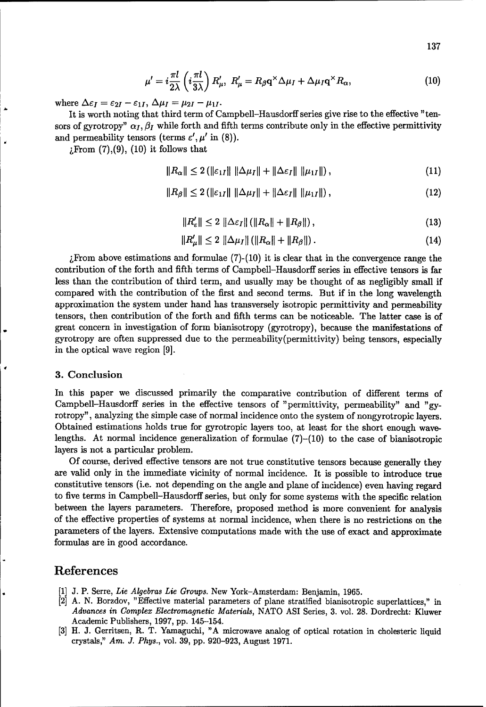$$
\mu' = i \frac{\pi l}{2\lambda} \left( i \frac{\pi l}{3\lambda} \right) R'_{\mu}, \ R'_{\mu} = R_{\beta} \mathbf{q}^{\times} \Delta \mu_I + \Delta \mu_I \mathbf{q}^{\times} R_{\alpha}, \tag{10}
$$

where  $\Delta \varepsilon_I = \varepsilon_{2I} - \varepsilon_{1I}$ ,  $\Delta \mu_I = \mu_{2I} - \mu_{1I}$ .

It is worth noting that third term of Campbell-Hausdorff series give rise to the effective "tensors of gyrotropy"  $\alpha_I, \beta_I$  while forth and fifth terms contribute only in the effective permittivity and permeability tensors (terms  $\varepsilon', \mu'$  in (8)).

 $i$ From  $(7), (9), (10)$  it follows that

$$
||R_{\alpha}|| \leq 2 (||\varepsilon_{1I}|| ||\Delta \mu_I|| + ||\Delta \varepsilon_I|| ||\mu_{1I}||), \qquad (11)
$$

$$
||R_{\beta}|| \leq 2 (||\varepsilon_{1I}|| ||\Delta \mu_I|| + ||\Delta \varepsilon_I|| ||\mu_{1I}||), \qquad (12)
$$

$$
||R'_{\varepsilon}|| \leq 2 ||\Delta \varepsilon_I|| (||R_{\alpha}|| + ||R_{\beta}||), \qquad (13)
$$

$$
||R'_{\mu}|| \le 2 ||\Delta \mu_I|| (||R_{\alpha}|| + ||R_{\beta}||).
$$
 (14)

From above estimations and formulae  $(7)-(10)$  it is clear that in the convergence range the contribution of the forth and fifth terms of Campbell–Hausdorff series in effective tensors is far less than the contribution of third term, and usually may be thought of as negligibly small if compared with the contribution of the first and second terms. But if in the long wavelength approximation the system under hand has transversely isotropic permittivity and permeability tensors, then contribution of the forth and fifth terms can be noticeable. The latter case is of great concern in investigation of form bianisotropy (gyrotropy), because the manifestations of gyrotropy are often suppressed due to the permeability (permittivity) being tensors, especially in the optical wave region [9].

#### 3. Conclusion

In this paper we discussed primarily the comparative contribution of different terms of Campbell-Hausdorff series in the effective tensors of "permittivity, permeability" and "gyrotropy", analyzing the simple case of normal incidence onto the system of nongyrotropic layers. Obtained estimations holds true for gyrotropic layers too, at least for the short enough wavelengths. At normal incidence generalization of formulae  $(7)$ – $(10)$  to the case of bianisotropic layers is not a particular problem.

Of course, derived effective tensors are not true constitutive tensors because generally they are valid only in the immediate vicinity of normal incidence. It is possible to introduce true constitutive tensors (i.e. not depending on the angle and plane of incidence) even having regard to five terms in Campbell-Hausdorff series, but only for some systems with the specific relation between the layers parameters. Therefore, proposed method is more convenient for analysis of the effective properties of systems at normal incidence, when there is no restrictions on the parameters of the layers. Extensive computations made with the use of exact and approximate formulas are in good accordance.

## References

- [1] J. P. Serre, Lie Algebras Lie Groups. New York-Amsterdam: Benjamin, 1965.
- [2] A. N. Borzdov, "Effective material parameters of plane stratified bianisotropic superlattices," in Advances in Complex Electromagnetic Materials, NATO ASI Series, 3. vol. 28. Dordrecht: Kluwer Academic Publishers, 1997, pp. 145-154.
- [3] H. J. Gerritsen, R. T. Yamaguchi, "A microwave analog of optical rotation in cholesteric liquid crystals," Am. J. Phys., vol. 39, pp. 920-923, August 1971.